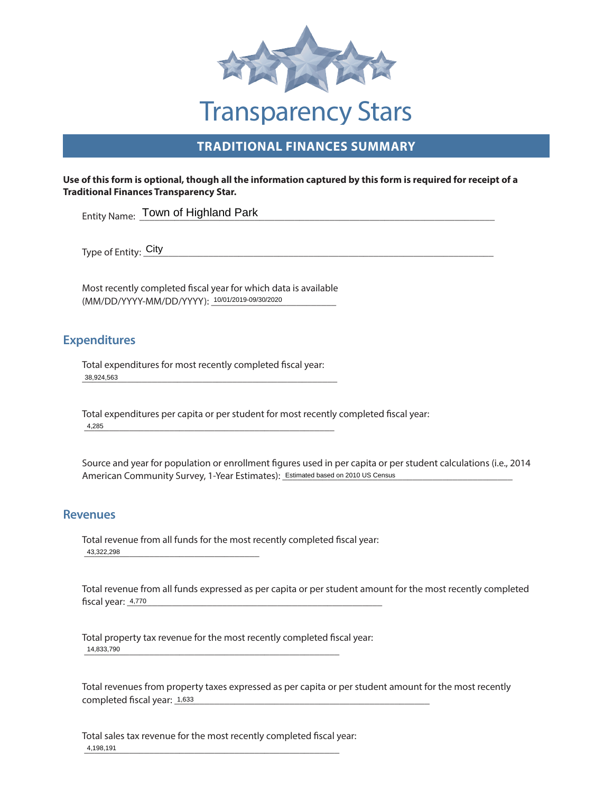

## **TRADITIONAL FINANCES SUMMARY**

#### **Use of this form is optional, though all the information captured by this form is required for receipt of a Traditional Finances Transparency Star.**

Entity Name: Town of Highland Park

 $\text{City}$ Type of Entity: <u>City</u>

(MM/DD/YYYY-MM/DD/YYYY): 10/01/2019-09/30/2020 Most recently completed fiscal year for which data is available

### **Expenditures**

\_\_\_\_\_\_\_\_\_\_\_\_\_\_\_\_\_\_\_\_\_\_\_\_\_\_\_\_\_\_\_\_\_\_\_\_\_\_\_\_\_\_\_\_\_\_\_\_\_\_\_ 38,924,563 Total expenditures for most recently completed fiscal year:

 \_\_\_\_\_\_\_\_\_\_\_\_\_\_\_\_\_\_\_\_\_\_\_\_\_\_\_\_\_\_\_\_\_\_\_\_\_\_\_\_\_\_\_\_\_\_\_\_\_\_ Total expenditures per capita or per student for most recently completed fiscal year: 4,285

American Community Survey, 1-Year Estimates): **Estimated based on 2010 US Census** Source and year for population or enrollment figures used in per capita or per student calculations (i.e., 2014

### **Revenues**

 \_\_\_\_\_\_\_\_\_\_\_\_\_\_\_\_\_\_\_\_\_\_\_\_\_\_\_\_\_\_\_\_\_\_\_ 43,322,298 Total revenue from all funds for the most recently completed fiscal year:

 \_\_\_\_\_\_\_\_\_\_\_\_\_\_\_\_\_\_\_\_\_\_\_\_\_\_\_\_\_\_\_\_\_\_\_\_\_\_\_\_\_\_\_\_\_\_\_\_\_\_\_ Total revenue from all funds expressed as per capita or per student amount for the most recently completed fiscal year: 4,770

 \_\_\_\_\_\_\_\_\_\_\_\_\_\_\_\_\_\_\_\_\_\_\_\_\_\_\_\_\_\_\_\_\_\_\_\_\_\_\_\_\_\_\_\_\_\_\_\_\_\_\_ 14,833,790 Total property tax revenue for the most recently completed fiscal year:

\_\_\_\_\_\_\_\_\_\_\_\_\_\_\_\_\_\_\_\_\_\_\_\_\_\_\_\_\_\_\_\_\_\_\_\_\_\_\_\_\_\_\_\_\_\_\_\_\_\_\_ Total revenues from property taxes expressed as per capita or per student amount for the most recently completed fiscal year: 1,633

 \_\_\_\_\_\_\_\_\_\_\_\_\_\_\_\_\_\_\_\_\_\_\_\_\_\_\_\_\_\_\_\_\_\_\_\_\_\_\_\_\_\_\_\_\_\_\_\_\_\_\_ Total sales tax revenue for the most recently completed fiscal year: 4,198,191